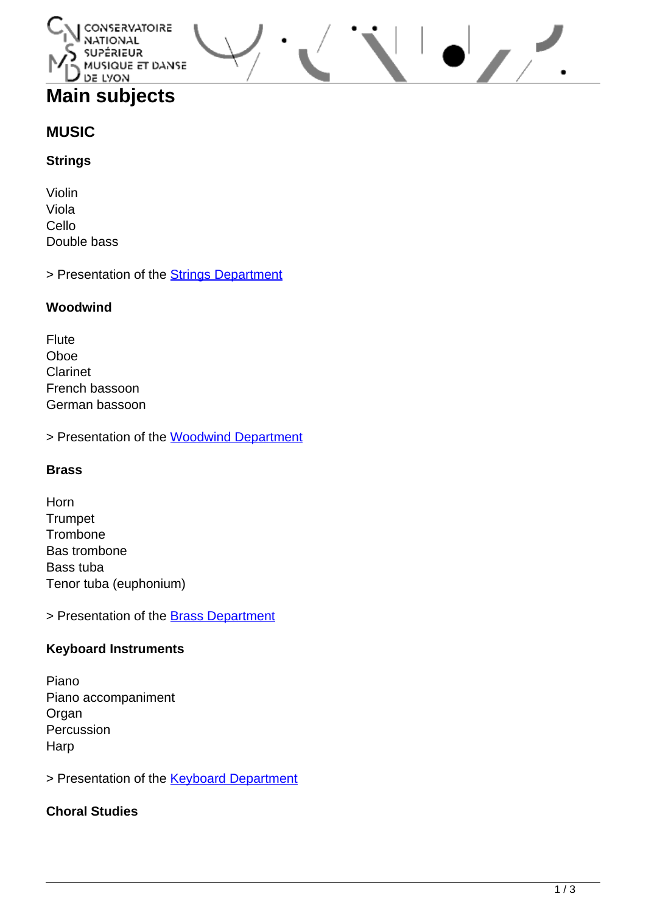#### CONSERVATOIRE **NATIONAL** รบละัลเอบล MUSIQUE ET DANSE DE LYON

# **Main subjects**

# **MUSIC**

## **Strings**

Violin Viola Cello Double bass

> Presentation of the **[Strings Department](http://www.cnsmd-lyon.fr/en-2/courses/strings-department)** 

### **Woodwind**

Flute Oboe Clarinet French bassoon German bassoon

> Presentation of the [Woodwind Department](http://www.cnsmd-lyon.fr/en-2/courses/woodwind-department)

#### **Brass**

Horn **Trumpet Trombone** Bas trombone Bass tuba Tenor tuba (euphonium)

> Presentation of the **[Brass Department](http://www.cnsmd-lyon.fr/en-2/courses/brass-department)** 

# **Keyboard Instruments**

Piano Piano accompaniment Organ Percussion **Harp** 

> Presentation of the **[Keyboard Department](http://www.cnsmd-lyon.fr/en-2/courses/keyboard-department)** 

# **Choral Studies**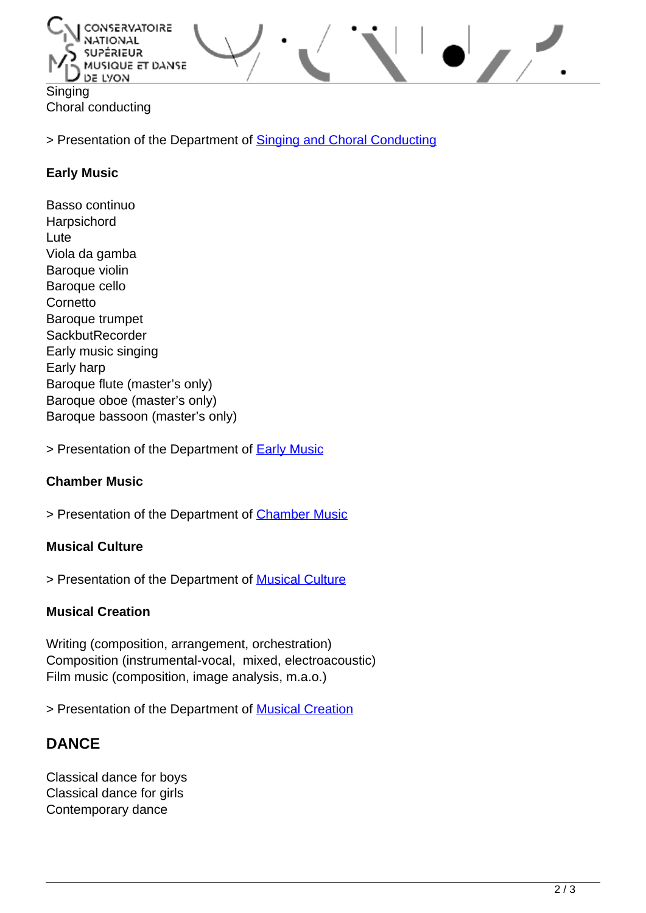

> Presentation of the Department of [Singing and Choral Conducting](http://www.cnsmd-lyon.fr/en-2/courses/department-of-singing-and-choral-conducting)

#### **Early Music**

Basso continuo Harpsichord Lute Viola da gamba Baroque violin Baroque cello **Cornetto** Baroque trumpet **SackbutRecorder** Early music singing Early harp Baroque flute (master's only) Baroque oboe (master's only) Baroque bassoon (master's only)

> Presentation of the Department of **Early Music** 

#### **Chamber Music**

> Presentation of the Department of [Chamber Music](http://www.cnsmd-lyon.fr/en-2/courses/department-of-chamber-music)

#### **Musical Culture**

> Presentation of the Department of **Musical Culture** 

#### **Musical Creation**

Writing (composition, arrangement, orchestration) Composition (instrumental-vocal, mixed, electroacoustic) Film music (composition, image analysis, m.a.o.)

> Presentation of the Department of **Musical Creation** 

# **DANCE**

Classical dance for boys Classical dance for girls Contemporary dance